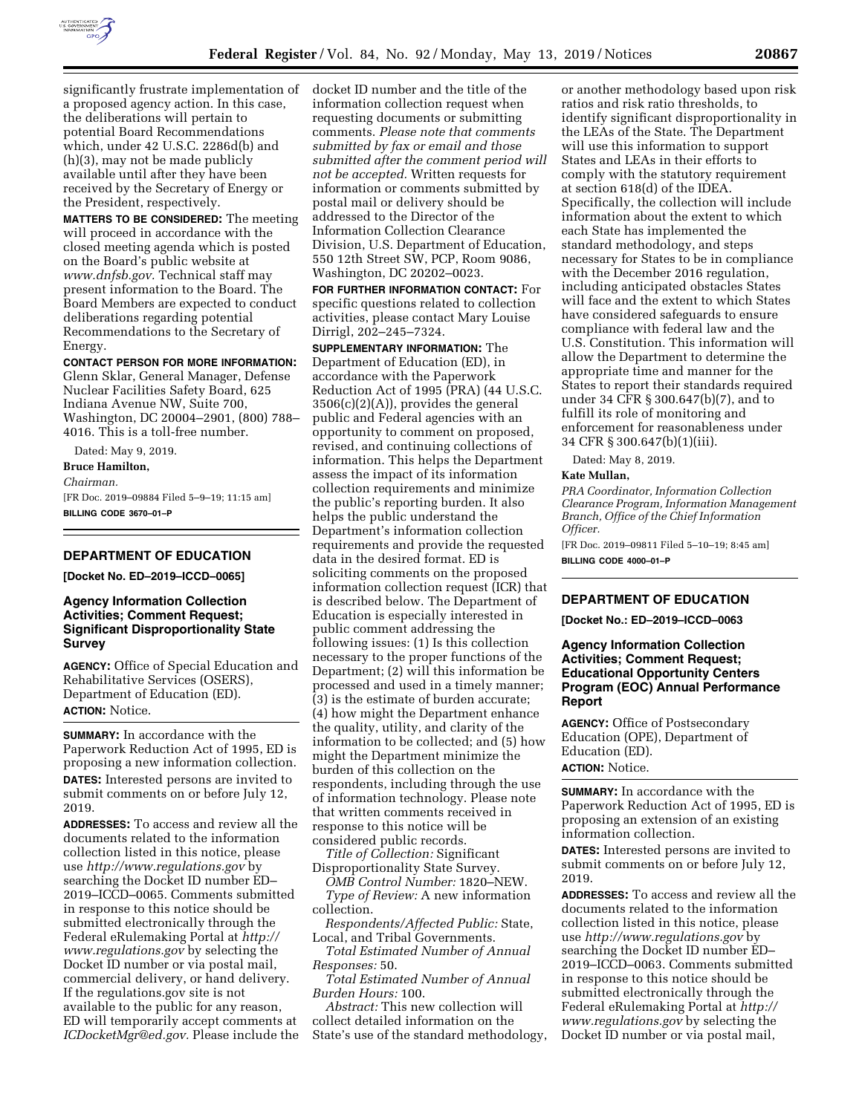

significantly frustrate implementation of a proposed agency action. In this case, the deliberations will pertain to potential Board Recommendations which, under 42 U.S.C. 2286d(b) and (h)(3), may not be made publicly available until after they have been received by the Secretary of Energy or the President, respectively.

**MATTERS TO BE CONSIDERED:** The meeting will proceed in accordance with the closed meeting agenda which is posted on the Board's public website at *[www.dnfsb.gov.](http://www.dnfsb.gov)* Technical staff may present information to the Board. The Board Members are expected to conduct deliberations regarding potential Recommendations to the Secretary of Energy.

**CONTACT PERSON FOR MORE INFORMATION:** 

Glenn Sklar, General Manager, Defense Nuclear Facilities Safety Board, 625 Indiana Avenue NW, Suite 700, Washington, DC 20004–2901, (800) 788– 4016. This is a toll-free number.

Dated: May 9, 2019.

**Bruce Hamilton,**  *Chairman.*  [FR Doc. 2019–09884 Filed 5–9–19; 11:15 am] **BILLING CODE 3670–01–P** 

### **DEPARTMENT OF EDUCATION**

**[Docket No. ED–2019–ICCD–0065]** 

# **Agency Information Collection Activities; Comment Request; Significant Disproportionality State Survey**

**AGENCY:** Office of Special Education and Rehabilitative Services (OSERS), Department of Education (ED). **ACTION:** Notice.

**SUMMARY:** In accordance with the Paperwork Reduction Act of 1995, ED is proposing a new information collection. **DATES:** Interested persons are invited to submit comments on or before July 12, 2019.

**ADDRESSES:** To access and review all the documents related to the information collection listed in this notice, please use *<http://www.regulations.gov>*by searching the Docket ID number ED– 2019–ICCD–0065. Comments submitted in response to this notice should be submitted electronically through the Federal eRulemaking Portal at *[http://](http://www.regulations.gov) [www.regulations.gov](http://www.regulations.gov)* by selecting the Docket ID number or via postal mail, commercial delivery, or hand delivery. If the regulations.gov site is not available to the public for any reason, ED will temporarily accept comments at *[ICDocketMgr@ed.gov.](mailto:ICDocketMgr@ed.gov)* Please include the docket ID number and the title of the information collection request when requesting documents or submitting comments. *Please note that comments submitted by fax or email and those submitted after the comment period will not be accepted.* Written requests for information or comments submitted by postal mail or delivery should be addressed to the Director of the Information Collection Clearance Division, U.S. Department of Education, 550 12th Street SW, PCP, Room 9086, Washington, DC 20202–0023.

**FOR FURTHER INFORMATION CONTACT:** For specific questions related to collection activities, please contact Mary Louise Dirrigl, 202–245–7324.

**SUPPLEMENTARY INFORMATION:** The Department of Education (ED), in accordance with the Paperwork Reduction Act of 1995 (PRA) (44 U.S.C.  $3506(c)(2)(A)$ , provides the general public and Federal agencies with an opportunity to comment on proposed, revised, and continuing collections of information. This helps the Department assess the impact of its information collection requirements and minimize the public's reporting burden. It also helps the public understand the Department's information collection requirements and provide the requested data in the desired format. ED is soliciting comments on the proposed information collection request (ICR) that is described below. The Department of Education is especially interested in public comment addressing the following issues: (1) Is this collection necessary to the proper functions of the Department; (2) will this information be processed and used in a timely manner; (3) is the estimate of burden accurate; (4) how might the Department enhance the quality, utility, and clarity of the information to be collected; and (5) how might the Department minimize the burden of this collection on the respondents, including through the use of information technology. Please note that written comments received in response to this notice will be considered public records.

*Title of Collection:* Significant Disproportionality State Survey.

*OMB Control Number:* 1820–NEW. *Type of Review:* A new information collection.

*Respondents/Affected Public:* State, Local, and Tribal Governments.

*Total Estimated Number of Annual Responses:* 50.

*Total Estimated Number of Annual Burden Hours:* 100.

*Abstract:* This new collection will collect detailed information on the State's use of the standard methodology,

or another methodology based upon risk ratios and risk ratio thresholds, to identify significant disproportionality in the LEAs of the State. The Department will use this information to support States and LEAs in their efforts to comply with the statutory requirement at section 618(d) of the IDEA. Specifically, the collection will include information about the extent to which each State has implemented the standard methodology, and steps necessary for States to be in compliance with the December 2016 regulation, including anticipated obstacles States will face and the extent to which States have considered safeguards to ensure compliance with federal law and the U.S. Constitution. This information will allow the Department to determine the appropriate time and manner for the States to report their standards required under 34 CFR § 300.647(b)(7), and to fulfill its role of monitoring and enforcement for reasonableness under 34 CFR § 300.647(b)(1)(iii).

Dated: May 8, 2019.

#### **Kate Mullan,**

*PRA Coordinator, Information Collection Clearance Program, Information Management Branch, Office of the Chief Information Officer.* 

[FR Doc. 2019–09811 Filed 5–10–19; 8:45 am] **BILLING CODE 4000–01–P** 

# **DEPARTMENT OF EDUCATION**

**[Docket No.: ED–2019–ICCD–0063** 

## **Agency Information Collection Activities; Comment Request; Educational Opportunity Centers Program (EOC) Annual Performance Report**

**AGENCY:** Office of Postsecondary Education (OPE), Department of Education (ED). **ACTION:** Notice.

**SUMMARY:** In accordance with the Paperwork Reduction Act of 1995, ED is proposing an extension of an existing information collection.

**DATES:** Interested persons are invited to submit comments on or before July 12, 2019.

**ADDRESSES:** To access and review all the documents related to the information collection listed in this notice, please use *<http://www.regulations.gov>*by searching the Docket ID number ED– 2019–ICCD–0063. Comments submitted in response to this notice should be submitted electronically through the Federal eRulemaking Portal at *[http://](http://www.regulations.gov) [www.regulations.gov](http://www.regulations.gov)* by selecting the Docket ID number or via postal mail,